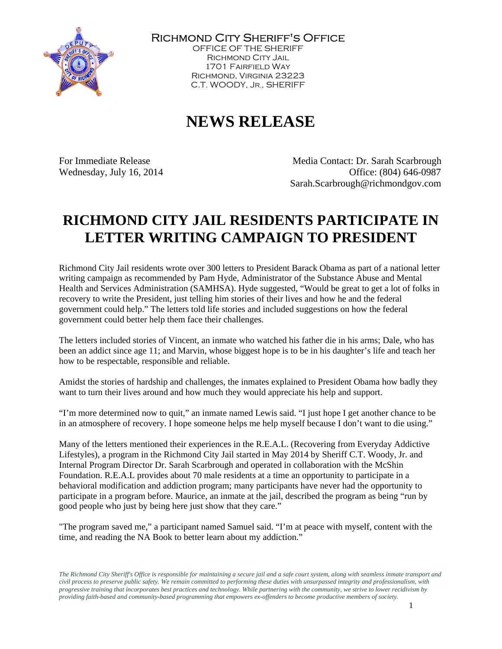

Richmond City Sheriff's Office

OFFICE OF THE SHERIFF Richmond City Jail 1701 Fairfield Way Richmond, Virginia 23223 C.T. WOODY, JR., SHERIFF

## **NEWS RELEASE**

For Immediate Release Media Contact: Dr. Sarah Scarbrough Wednesday, July 16, 2014 Chicago Based & Contract Contract Contract Contract Contract Office: (804) 646-0987 Sarah.Scarbrough@richmondgov.com

## **RICHMOND CITY JAIL RESIDENTS PARTICIPATE IN LETTER WRITING CAMPAIGN TO PRESIDENT**

Richmond City Jail residents wrote over 300 letters to President Barack Obama as part of a national letter writing campaign as recommended by Pam Hyde, Administrator of the Substance Abuse and Mental Health and Services Administration (SAMHSA). Hyde suggested, "Would be great to get a lot of folks in recovery to write the President, just telling him stories of their lives and how he and the federal government could help." The letters told life stories and included suggestions on how the federal government could better help them face their challenges.

The letters included stories of Vincent, an inmate who watched his father die in his arms; Dale, who has been an addict since age 11; and Marvin, whose biggest hope is to be in his daughter's life and teach her how to be respectable, responsible and reliable.

Amidst the stories of hardship and challenges, the inmates explained to President Obama how badly they want to turn their lives around and how much they would appreciate his help and support.

"I'm more determined now to quit," an inmate named Lewis said. "I just hope I get another chance to be in an atmosphere of recovery. I hope someone helps me help myself because I don't want to die using."

Many of the letters mentioned their experiences in the R.E.A.L. (Recovering from Everyday Addictive Lifestyles), a program in the Richmond City Jail started in May 2014 by Sheriff C.T. Woody, Jr. and Internal Program Director Dr. Sarah Scarbrough and operated in collaboration with the McShin Foundation. R.E.A.L provides about 70 male residents at a time an opportunity to participate in a behavioral modification and addiction program; many participants have never had the opportunity to participate in a program before. Maurice, an inmate at the jail, described the program as being "run by good people who just by being here just show that they care."

"The program saved me," a participant named Samuel said. "I'm at peace with myself, content with the time, and reading the NA Book to better learn about my addiction."

*The Richmond City Sheriff's Office is responsible for maintaining a secure jail and a safe court system, along with seamless inmate transport and civil process to preserve public safety. We remain committed to performing these duties with unsurpassed integrity and professionalism, with progressive training that incorporates best practices and technology. While partnering with the community, we strive to lower recidivism by providing faith-based and community-based programming that empowers ex-offenders to become productive members of society.*